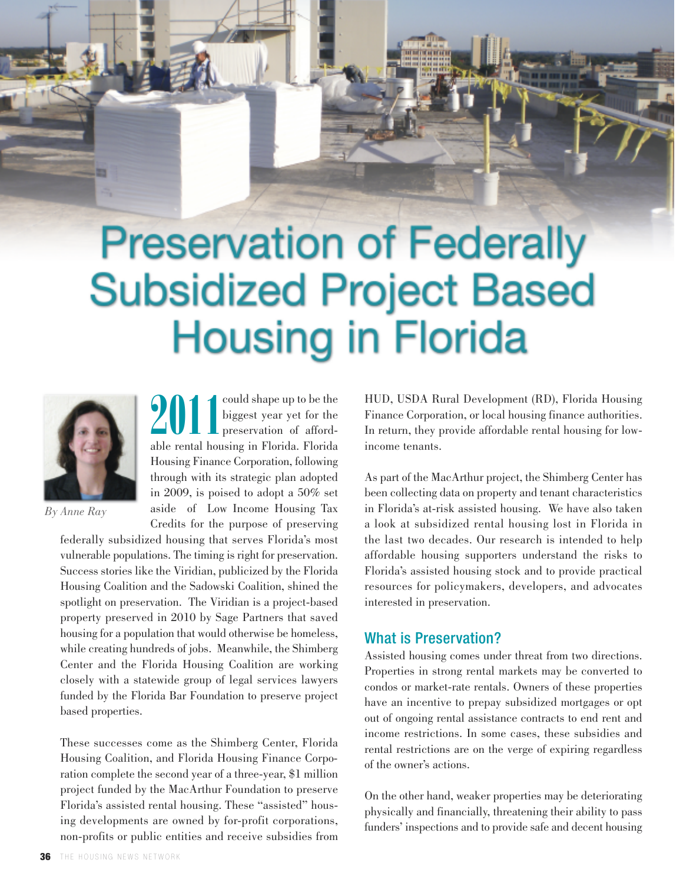# **Preservation of Federally Subsidized Project Based Housing in Florida**



*By Anne Ray*

**2011** Could shape up to be the biggest year yet for the preservation of affordable rental housing in Florida. Florida could shape up to be the biggest year yet for the preservation of afford-Housing Finance Corporation, following through with its strategic plan adopted in 2009, is poised to adopt a 50% set aside of Low Income Housing Tax Credits for the purpose of preserving

federally subsidized housing that serves Florida's most vulnerable populations. The timing is right for preservation. Success stories like the Viridian, publicized by the Florida Housing Coalition and the Sadowski Coalition, shined the spotlight on preservation. The Viridian is a project-based property preserved in 2010 by Sage Partners that saved housing for a population that would otherwise be homeless, while creating hundreds of jobs. Meanwhile, the Shimberg Center and the Florida Housing Coalition are working closely with a statewide group of legal services lawyers funded by the Florida Bar Foundation to preserve project based properties.

These successes come as the Shimberg Center, Florida Housing Coalition, and Florida Housing Finance Corporation complete the second year of a three-year, \$1 million project funded by the MacArthur Foundation to preserve Florida's assisted rental housing. These "assisted" housing developments are owned by for-profit corporations, non-profits or public entities and receive subsidies from HUD, USDA Rural Development (RD), Florida Housing Finance Corporation, or local housing finance authorities. In return, they provide affordable rental housing for lowincome tenants.

As part of the MacArthur project, the Shimberg Center has been collecting data on property and tenant characteristics in Florida's at-risk assisted housing. We have also taken a look at subsidized rental housing lost in Florida in the last two decades. Our research is intended to help affordable housing supporters understand the risks to Florida's assisted housing stock and to provide practical resources for policymakers, developers, and advocates interested in preservation.

## What is Preservation?

Assisted housing comes under threat from two directions. Properties in strong rental markets may be converted to condos or market-rate rentals. Owners of these properties have an incentive to prepay subsidized mortgages or opt out of ongoing rental assistance contracts to end rent and income restrictions. In some cases, these subsidies and rental restrictions are on the verge of expiring regardless of the owner's actions.

On the other hand, weaker properties may be deteriorating physically and financially, threatening their ability to pass funders' inspections and to provide safe and decent housing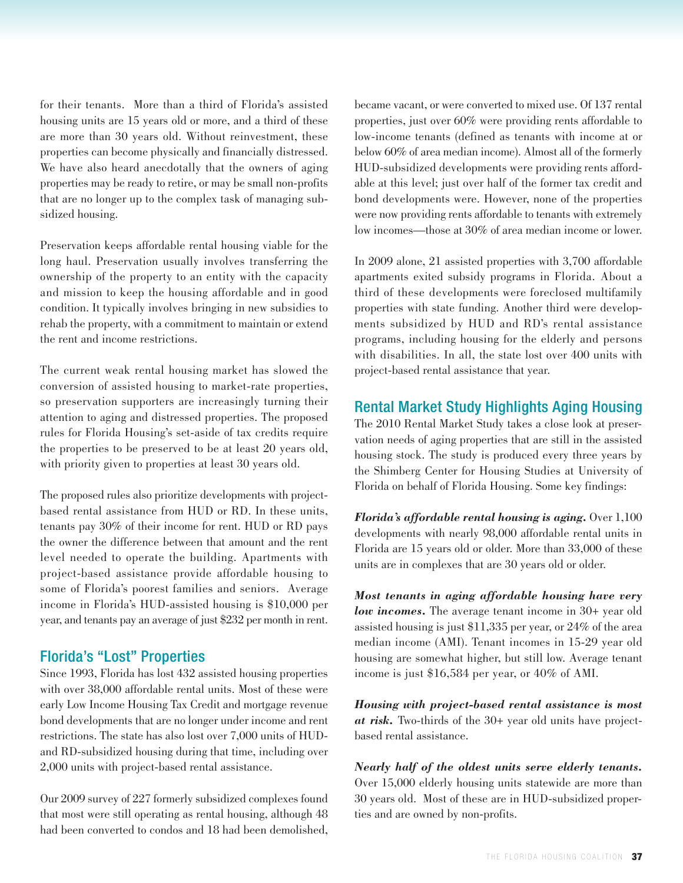for their tenants. More than a third of Florida's assisted housing units are 15 years old or more, and a third of these are more than 30 years old. Without reinvestment, these properties can become physically and financially distressed. We have also heard anecdotally that the owners of aging properties may be ready to retire, or may be small non-profits that are no longer up to the complex task of managing subsidized housing.

Preservation keeps affordable rental housing viable for the long haul. Preservation usually involves transferring the ownership of the property to an entity with the capacity and mission to keep the housing affordable and in good condition. It typically involves bringing in new subsidies to rehab the property, with a commitment to maintain or extend the rent and income restrictions.

The current weak rental housing market has slowed the conversion of assisted housing to market-rate properties, so preservation supporters are increasingly turning their attention to aging and distressed properties. The proposed rules for Florida Housing's set-aside of tax credits require the properties to be preserved to be at least 20 years old, with priority given to properties at least 30 years old.

The proposed rules also prioritize developments with projectbased rental assistance from HUD or RD. In these units, tenants pay 30% of their income for rent. HUD or RD pays the owner the difference between that amount and the rent level needed to operate the building. Apartments with project-based assistance provide affordable housing to some of Florida's poorest families and seniors. Average income in Florida's HUD-assisted housing is \$10,000 per year, and tenants pay an average of just \$232 per month in rent.

## Florida's "Lost" Properties

Since 1993, Florida has lost 432 assisted housing properties with over 38,000 affordable rental units. Most of these were early Low Income Housing Tax Credit and mortgage revenue bond developments that are no longer under income and rent restrictions. The state has also lost over 7,000 units of HUDand RD-subsidized housing during that time, including over 2,000 units with project-based rental assistance.

Our 2009 survey of 227 formerly subsidized complexes found that most were still operating as rental housing, although 48 had been converted to condos and 18 had been demolished, became vacant, or were converted to mixed use. Of 137 rental properties, just over 60% were providing rents affordable to low-income tenants (defined as tenants with income at or below 60% of area median income). Almost all of the formerly HUD-subsidized developments were providing rents affordable at this level; just over half of the former tax credit and bond developments were. However, none of the properties were now providing rents affordable to tenants with extremely low incomes—those at 30% of area median income or lower.

In 2009 alone, 21 assisted properties with 3,700 affordable apartments exited subsidy programs in Florida. About a third of these developments were foreclosed multifamily properties with state funding. Another third were developments subsidized by HUD and RD's rental assistance programs, including housing for the elderly and persons with disabilities. In all, the state lost over 400 units with project-based rental assistance that year.

#### Rental Market Study Highlights Aging Housing

The 2010 Rental Market Study takes a close look at preservation needs of aging properties that are still in the assisted housing stock. The study is produced every three years by the Shimberg Center for Housing Studies at University of Florida on behalf of Florida Housing. Some key findings:

*Florida's affordable rental housing is aging.* Over 1,100 developments with nearly 98,000 affordable rental units in Florida are 15 years old or older. More than 33,000 of these units are in complexes that are 30 years old or older.

*Most tenants in aging affordable housing have very low incomes.* The average tenant income in 30+ year old assisted housing is just \$11,335 per year, or 24% of the area median income (AMI). Tenant incomes in 15-29 year old housing are somewhat higher, but still low. Average tenant income is just \$16,584 per year, or 40% of AMI.

*Housing with project-based rental assistance is most at risk.* Two-thirds of the 30+ year old units have projectbased rental assistance.

*Nearly half of the oldest units serve elderly tenants.* Over 15,000 elderly housing units statewide are more than 30 years old. Most of these are in HUD-subsidized properties and are owned by non-profits.